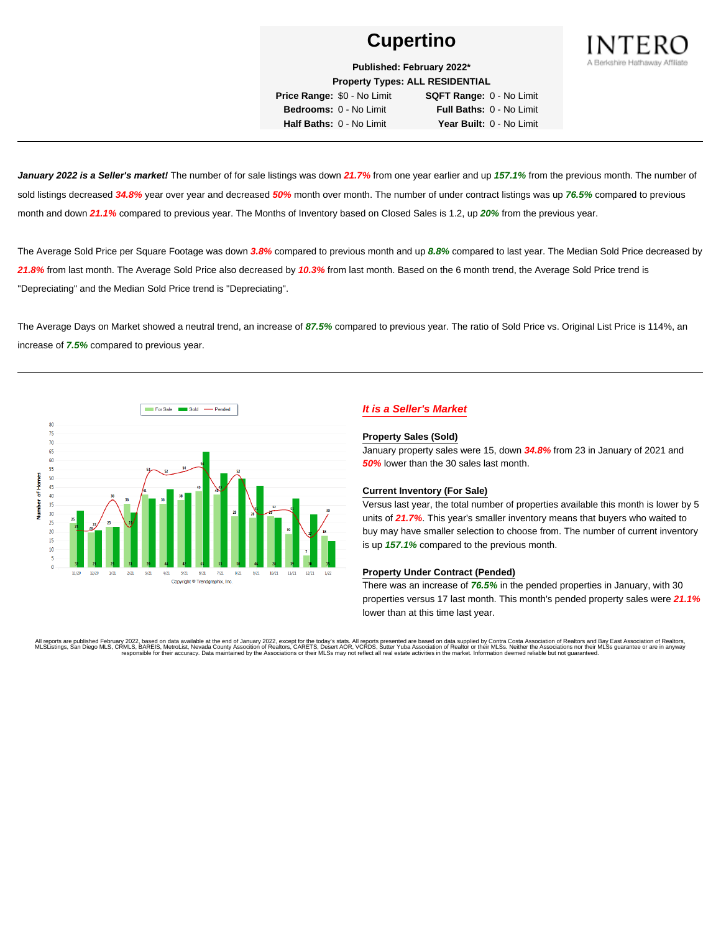

**Published: February 2022\* Property Types: ALL RESIDENTIAL**

**Price Range:** \$0 - No Limit **SQFT Range:** 0 - No Limit **Bedrooms:** 0 - No Limit **Full Baths:** 0 - No Limit **Half Baths:** 0 - No Limit **Year Built:** 0 - No Limit

**January 2022 is a Seller's market!** The number of for sale listings was down **21.7%** from one year earlier and up **157.1%** from the previous month. The number of sold listings decreased **34.8%** year over year and decreased **50%** month over month. The number of under contract listings was up **76.5%** compared to previous month and down **21.1%** compared to previous year. The Months of Inventory based on Closed Sales is 1.2, up **20%** from the previous year.

The Average Sold Price per Square Footage was down **3.8%** compared to previous month and up **8.8%** compared to last year. The Median Sold Price decreased by **21.8%** from last month. The Average Sold Price also decreased by **10.3%** from last month. Based on the 6 month trend, the Average Sold Price trend is "Depreciating" and the Median Sold Price trend is "Depreciating".

The Average Days on Market showed a neutral trend, an increase of **87.5%** compared to previous year. The ratio of Sold Price vs. Original List Price is 114%, an increase of **7.5%** compared to previous year.



# **It is a Seller's Market**

#### **Property Sales (Sold)**

January property sales were 15, down **34.8%** from 23 in January of 2021 and **50%** lower than the 30 sales last month.

#### **Current Inventory (For Sale)**

Versus last year, the total number of properties available this month is lower by 5 units of **21.7%**. This year's smaller inventory means that buyers who waited to buy may have smaller selection to choose from. The number of current inventory is up **157.1%** compared to the previous month.

#### **Property Under Contract (Pended)**

There was an increase of **76.5%** in the pended properties in January, with 30 properties versus 17 last month. This month's pended property sales were **21.1%** lower than at this time last year.

All reports are published February 2022, based on data available at the end of January 2022, except for the today's stats. All reports presented are based on data supplied by Contra Costa Association of Realtors and Bay Ea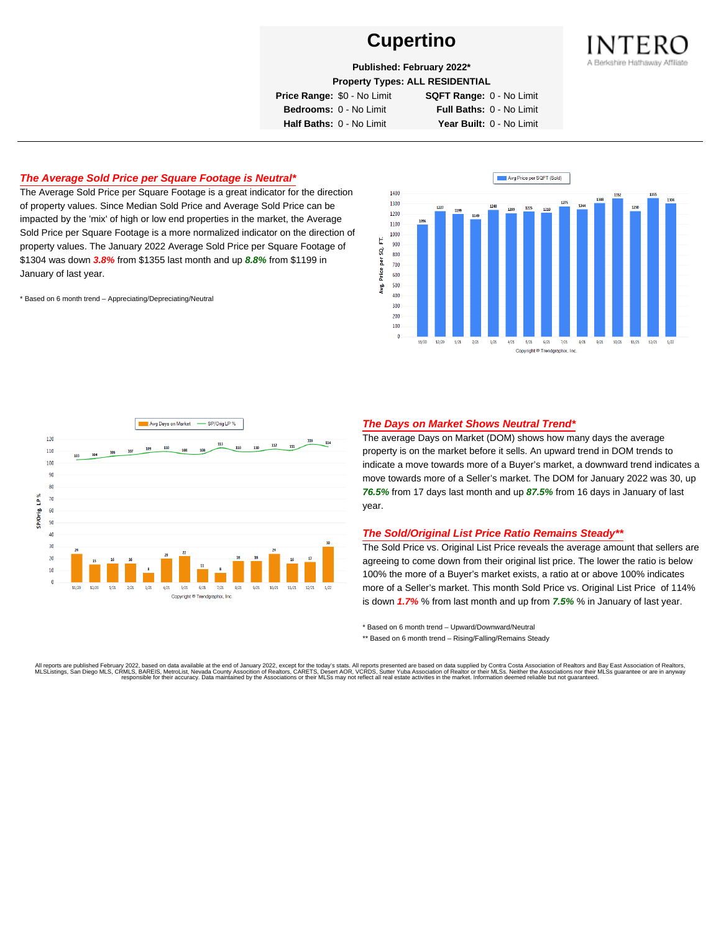

**Published: February 2022\***

**Property Types: ALL RESIDENTIAL**

**Price Range:** \$0 - No Limit **SQFT Range:** 0 - No Limit

**Bedrooms:** 0 - No Limit **Full Baths:** 0 - No Limit **Half Baths:** 0 - No Limit **Year Built:** 0 - No Limit

# **The Average Sold Price per Square Footage is Neutral\***

The Average Sold Price per Square Footage is a great indicator for the direction of property values. Since Median Sold Price and Average Sold Price can be impacted by the 'mix' of high or low end properties in the market, the Average Sold Price per Square Footage is a more normalized indicator on the direction of property values. The January 2022 Average Sold Price per Square Footage of \$1304 was down **3.8%** from \$1355 last month and up **8.8%** from \$1199 in January of last year.

\* Based on 6 month trend – Appreciating/Depreciating/Neutral





#### **The Days on Market Shows Neutral Trend\***

The average Days on Market (DOM) shows how many days the average property is on the market before it sells. An upward trend in DOM trends to indicate a move towards more of a Buyer's market, a downward trend indicates a move towards more of a Seller's market. The DOM for January 2022 was 30, up **76.5%** from 17 days last month and up **87.5%** from 16 days in January of last year.

#### **The Sold/Original List Price Ratio Remains Steady\*\***

The Sold Price vs. Original List Price reveals the average amount that sellers are agreeing to come down from their original list price. The lower the ratio is below 100% the more of a Buyer's market exists, a ratio at or above 100% indicates more of a Seller's market. This month Sold Price vs. Original List Price of 114% is down **1.7%** % from last month and up from **7.5%** % in January of last year.

\* Based on 6 month trend – Upward/Downward/Neutral

\*\* Based on 6 month trend - Rising/Falling/Remains Steady

All reports are published February 2022, based on data available at the end of January 2022, except for the today's stats. All reports presented are based on data supplied by Contra Costa Association of Realtors and Bay Ea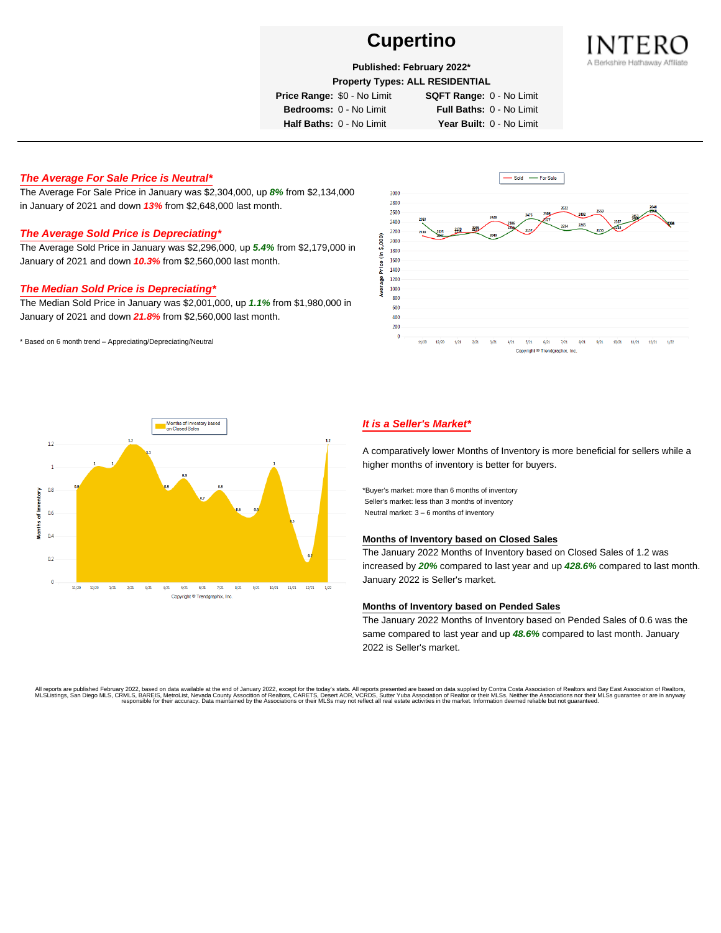

## **Published: February 2022\***

**Property Types: ALL RESIDENTIAL**

**Price Range:** \$0 - No Limit **SQFT Range:** 0 - No Limit

**Bedrooms:** 0 - No Limit **Full Baths:** 0 - No Limit **Half Baths:** 0 - No Limit **Year Built:** 0 - No Limit

## **The Average For Sale Price is Neutral\***

The Average For Sale Price in January was \$2,304,000, up **8%** from \$2,134,000 in January of 2021 and down **13%** from \$2,648,000 last month.

# **The Average Sold Price is Depreciating\***

The Average Sold Price in January was \$2,296,000, up **5.4%** from \$2,179,000 in January of 2021 and down **10.3%** from \$2,560,000 last month.

## **The Median Sold Price is Depreciating\***

The Median Sold Price in January was \$2,001,000, up **1.1%** from \$1,980,000 in January of 2021 and down **21.8%** from \$2,560,000 last month.

\* Based on 6 month trend – Appreciating/Depreciating/Neutral





# **It is a Seller's Market\***

A comparatively lower Months of Inventory is more beneficial for sellers while a higher months of inventory is better for buyers.

\*Buyer's market: more than 6 months of inventory Seller's market: less than 3 months of inventory Neutral market: 3 – 6 months of inventory

#### **Months of Inventory based on Closed Sales**

The January 2022 Months of Inventory based on Closed Sales of 1.2 was increased by **20%** compared to last year and up **428.6%** compared to last month. January 2022 is Seller's market.

#### **Months of Inventory based on Pended Sales**

The January 2022 Months of Inventory based on Pended Sales of 0.6 was the same compared to last year and up **48.6%** compared to last month. January 2022 is Seller's market.

All reports are published February 2022, based on data available at the end of January 2022, except for the today's stats. All reports presented are based on data supplied by Contra Costa Association of Realtors, and beat responsible for their accuracy. Data maintained by the Associations or their MLSs may not reflect all real estate activities in the market. Information deemed reliable but not quaranteed